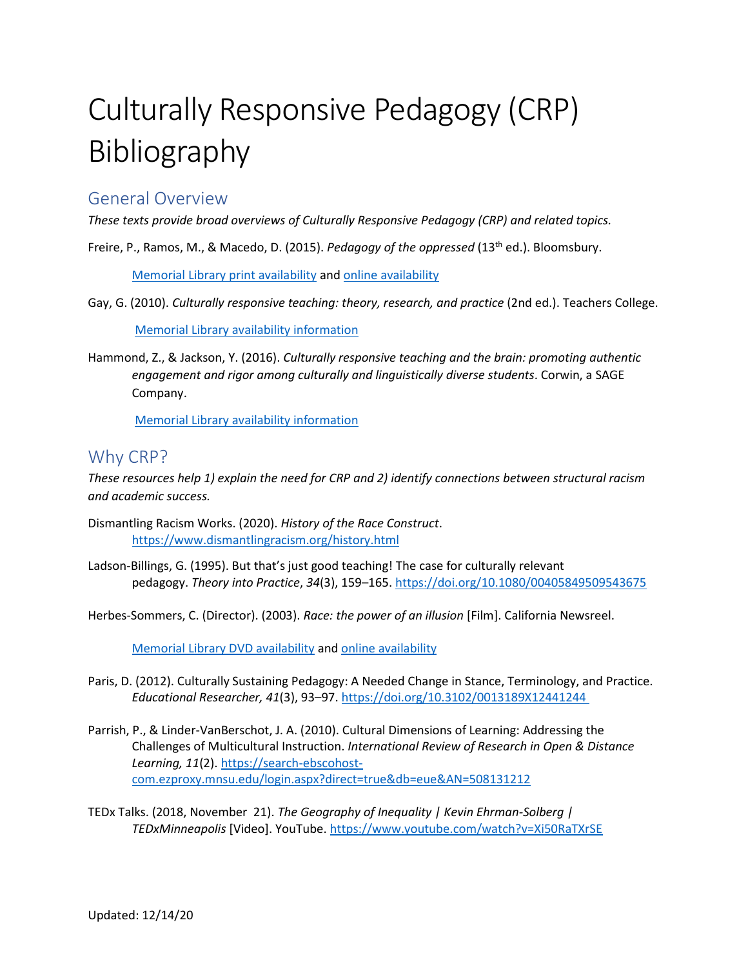# Culturally Responsive Pedagogy (CRP) Bibliography

### General Overview

*These texts provide broad overviews of Culturally Responsive Pedagogy (CRP) and related topics.*

Freire, P., Ramos, M., & Macedo, D. (2015). *Pedagogy of the oppressed* (13<sup>th</sup> ed.). Bloomsbury.

[Memorial Library print availability](https://mnpals-msumk.primo.exlibrisgroup.com/permalink/01MNPALS_MSUMK/mt2vjq/alma990089601890104301) and [online availability](https://mnpals-msumk.primo.exlibrisgroup.com/permalink/01MNPALS_MSUMK/mt2vjq/alma9989778037904301)

Gay, G. (2010). *Culturally responsive teaching: theory, research, and practice* (2nd ed.). Teachers College.

[Memorial Library availability information](https://mnpals-msumk.primo.exlibrisgroup.com/permalink/01MNPALS_MSUMK/mt2vjq/alma990073069510104301)

Hammond, Z., & Jackson, Y. (2016). *Culturally responsive teaching and the brain: promoting authentic engagement and rigor among culturally and linguistically diverse students*. Corwin, a SAGE Company.

[Memorial Library availability information](https://mnpals-msumk.primo.exlibrisgroup.com/permalink/01MNPALS_MSUMK/mt2vjq/alma990082141450104301)

## Why CRP?

*These resources help 1) explain the need for CRP and 2) identify connections between structural racism and academic success.* 

- Dismantling Racism Works. (2020). *History of the Race Construct*. <https://www.dismantlingracism.org/history.html>
- Ladson‐Billings, G. (1995). But that's just good teaching! The case for culturally relevant pedagogy. *Theory into Practice*, *34*(3), 159–165[. https://doi.org/10.1080/00405849509543675](https://mnpals-msumk.primo.exlibrisgroup.com/permalink/01MNPALS_MSUMK/tvalnd/cdi_proquest_journals_1294894181)

Herbes-Sommers, C. (Director). (2003). *Race: the power of an illusion* [Film]. California Newsreel.

[Memorial Library DVD availability](https://mnpals-msumk.primo.exlibrisgroup.com/permalink/01MNPALS_MSUMK/mt2vjq/alma990028962770104301) an[d online availability](https://mnpals-msumk.primo.exlibrisgroup.com/permalink/01MNPALS_MSUMK/mt2vjq/alma9989840576904301)

- Paris, D. (2012). Culturally Sustaining Pedagogy: A Needed Change in Stance, Terminology, and Practice. *Educational Researcher, 41*(3), 93–97. [https://doi.org/10.3102/0013189X12441244](https://mnpals-msumk.primo.exlibrisgroup.com/permalink/01MNPALS_MSUMK/tvalnd/cdi_proquest_journals_963520620)
- Parrish, P., & Linder-VanBerschot, J. A. (2010). Cultural Dimensions of Learning: Addressing the Challenges of Multicultural Instruction. *International Review of Research in Open & Distance Learning, 11*(2)[. https://search-ebscohost](https://search-ebscohost-com.ezproxy.mnsu.edu/login.aspx?direct=true&db=eue&AN=508131212)[com.ezproxy.mnsu.edu/login.aspx?direct=true&db=eue&AN=508131212](https://search-ebscohost-com.ezproxy.mnsu.edu/login.aspx?direct=true&db=eue&AN=508131212)
- TEDx Talks. (2018, November 21). *The Geography of Inequality | Kevin Ehrman-Solberg | TEDxMinneapolis* [Video]. YouTube.<https://www.youtube.com/watch?v=Xi50RaTXrSE>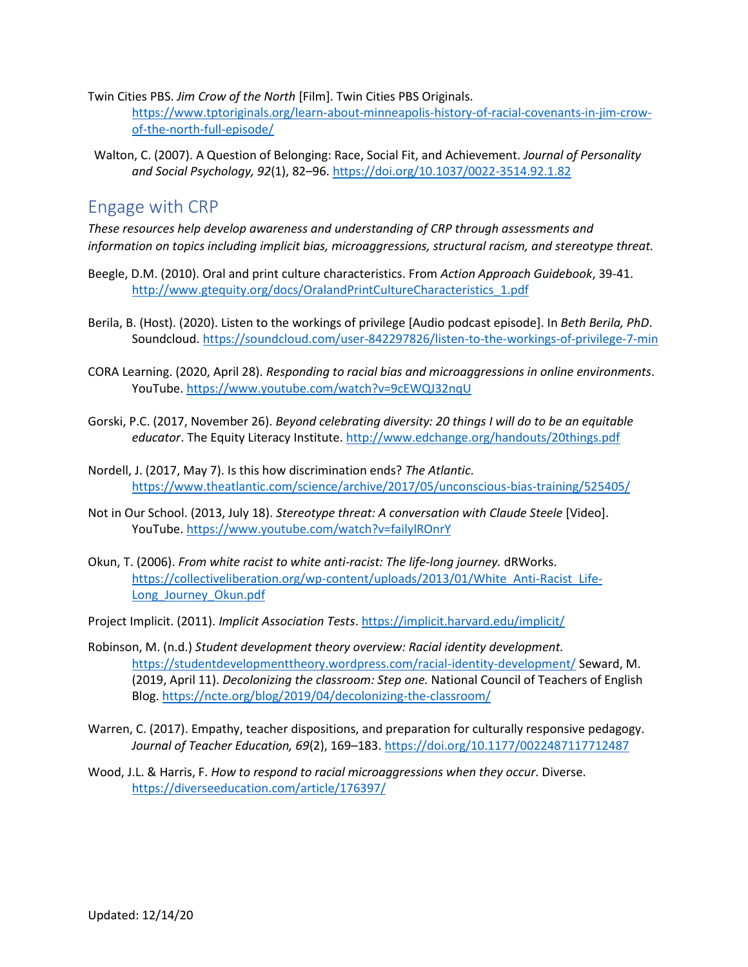- Twin Cities PBS. *Jim Crow of the North* [Film]. Twin Cities PBS Originals. [https://www.tptoriginals.org/learn-about-minneapolis-history-of-racial-covenants-in-jim-crow](https://www.tptoriginals.org/learn-about-minneapolis-history-of-racial-covenants-in-jim-crow-of-the-north-full-episode/)[of-the-north-full-episode/](https://www.tptoriginals.org/learn-about-minneapolis-history-of-racial-covenants-in-jim-crow-of-the-north-full-episode/)
- Walton, C. (2007). A Question of Belonging: Race, Social Fit, and Achievement. *Journal of Personality and Social Psychology, 92*(1), 82–96.<https://doi.org/10.1037/0022-3514.92.1.82>

### Engage with CRP

*These resources help develop awareness and understanding of CRP through assessments and information on topics including implicit bias, microaggressions, structural racism, and stereotype threat.* 

- Beegle, D.M. (2010). Oral and print culture characteristics. From *Action Approach Guidebook*, 39-41. [http://www.gtequity.org/docs/OralandPrintCultureCharacteristics\\_1.pdf](http://www.gtequity.org/docs/OralandPrintCultureCharacteristics_1.pdf)
- Berila, B. (Host). (2020). Listen to the workings of privilege [Audio podcast episode]. In *Beth Berila, PhD*. Soundcloud.<https://soundcloud.com/user-842297826/listen-to-the-workings-of-privilege-7-min>
- CORA Learning. (2020, April 28). *Responding to racial bias and microaggressions in online environments*. YouTube[. https://www.youtube.com/watch?v=9cEWQJ32nqU](https://www.youtube.com/watch?v=9cEWQJ32nqU)
- Gorski, P.C. (2017, November 26). *Beyond celebrating diversity: 20 things I will do to be an equitable educator*. The Equity Literacy Institute. <http://www.edchange.org/handouts/20things.pdf>
- Nordell, J. (2017, May 7). Is this how discrimination ends? *The Atlantic*. <https://www.theatlantic.com/science/archive/2017/05/unconscious-bias-training/525405/>
- Not in Our School. (2013, July 18). *Stereotype threat: A conversation with Claude Steele* [Video]. YouTube[. https://www.youtube.com/watch?v=failylROnrY](https://www.youtube.com/watch?v=failylROnrY)
- Okun, T. (2006). *From white racist to white anti-racist: The life-long journey.* dRWorks. [https://collectiveliberation.org/wp-content/uploads/2013/01/White\\_Anti-Racist\\_Life-](https://collectiveliberation.org/wp-content/uploads/2013/01/White_Anti-Racist_Life-Long_Journey_Okun.pdf)[Long\\_Journey\\_Okun.pdf](https://collectiveliberation.org/wp-content/uploads/2013/01/White_Anti-Racist_Life-Long_Journey_Okun.pdf)
- Project Implicit. (2011). *Implicit Association Tests*.<https://implicit.harvard.edu/implicit/>
- Robinson, M. (n.d.) *Student development theory overview: Racial identity development.* <https://studentdevelopmenttheory.wordpress.com/racial-identity-development/> Seward, M. (2019, April 11). *Decolonizing the classroom: Step one.* National Council of Teachers of English Blog[. https://ncte.org/blog/2019/04/decolonizing-the-classroom/](https://ncte.org/blog/2019/04/decolonizing-the-classroom/)
- Warren, C. (2017). Empathy, teacher dispositions, and preparation for culturally responsive pedagogy. *Journal of Teacher Education, 69*(2), 169–183.<https://doi.org/10.1177/0022487117712487>
- Wood, J.L. & Harris, F. *How to respond to racial microaggressions when they occur*. Diverse. <https://diverseeducation.com/article/176397/>